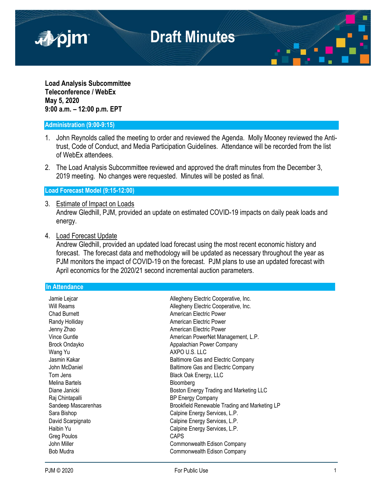

**Load Analysis Subcommittee Teleconference / WebEx May 5, 2020 9:00 a.m. – 12:00 p.m. EPT** 

## **Administration (9:00-9:15)**

- 1. John Reynolds called the meeting to order and reviewed the Agenda. Molly Mooney reviewed the Antitrust, Code of Conduct, and Media Participation Guidelines. Attendance will be recorded from the list of WebEx attendees.
- 2. The Load Analysis Subcommittee reviewed and approved the draft minutes from the December 3, 2019 meeting. No changes were requested. Minutes will be posted as final.

**Load Forecast Model (9:15-12:00)**

- 3. Estimate of Impact on Loads Andrew Gledhill, PJM, provided an update on estimated COVID-19 impacts on daily peak loads and energy.
- 4. Load Forecast Update

Andrew Gledhill, provided an updated load forecast using the most recent economic history and forecast. The forecast data and methodology will be updated as necessary throughout the year as PJM monitors the impact of COVID-19 on the forecast. PJM plans to use an updated forecast with April economics for the 2020/21 second incremental auction parameters.

**In Attendance**

| Jamie Lejcar        | Allegheny Electric Cooperative, Inc.          |
|---------------------|-----------------------------------------------|
| Will Reams          | Allegheny Electric Cooperative, Inc.          |
| Chad Burnett        | American Electric Power                       |
| Randy Holliday      | American Electric Power                       |
| Jenny Zhao          | American Electric Power                       |
| Vince Guntle        | American PowerNet Management, L.P.            |
|                     |                                               |
| Brock Ondayko       | Appalachian Power Company                     |
| Wang Yu             | AXPO U.S. LLC                                 |
| Jasmin Kakar        | Baltimore Gas and Electric Company            |
| John McDaniel       | Baltimore Gas and Electric Company            |
| Tom Jens            | Black Oak Energy, LLC                         |
| Melina Bartels      | Bloomberg                                     |
| Diane Janicki       | Boston Energy Trading and Marketing LLC       |
| Raj Chintapalli     | <b>BP Energy Company</b>                      |
| Sandeep Mascarenhas | Brookfield Renewable Trading and Marketing LP |
| Sara Bishop         | Calpine Energy Services, L.P.                 |
| David Scarpignato   | Calpine Energy Services, L.P.                 |
| Haibin Yu           | Calpine Energy Services, L.P.                 |
| Greg Poulos         | <b>CAPS</b>                                   |
| John Miller         | Commonwealth Edison Company                   |
| Bob Mudra           | Commonwealth Edison Company                   |
|                     |                                               |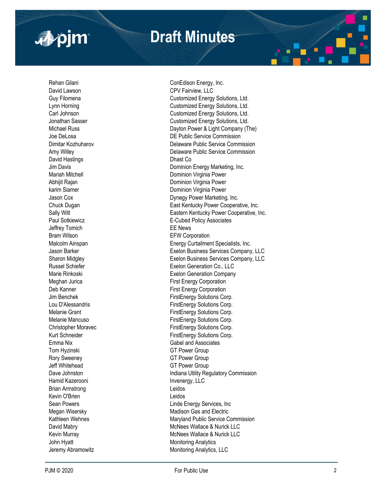



Rehan Gilani **Conedison Energy, Inc.** ConEdison Energy, Inc. David Lawson **CPV Fairview, LLC** David Hastings **Dhast Co.** Dhast Co. Paul Sotkiewicz Jeffrey Tomich EE News Bram Wilson **EFW Corporation** Tom Hyzinski GT Power Group Rory Sweeney GT Power Group Jeff Whitehead GT Power Group Hamid Kazerooni **Invenergy**, LLC Brian Armstrong Leidos Kevin O'Brien **Leidos** John Hyatt **Monitoring Analytics** Monitoring Analytics Jeremy Abramowitz **Monitoring Analytics**, LLC

Guy Filomena **Customized Energy Solutions, Ltd.** Lynn Horning **Customized Energy Solutions, Ltd.** Carl Johnson Customized Energy Solutions, Ltd. Jonathan Sasser **Customized Energy Solutions, Ltd.** Michael Russ **Dayton Power & Light Company (The)** Joe DeLosa DE Public Service Commission Dimitar Kozhuharov Delaware Public Service Commission Amy Willey Delaware Public Service Commission Jim Davis **Dominion Energy Marketing, Inc.** Mariah Mitchell **Mariah Mitchell** Dominion Virginia Power Abhijit Rajan **Dominion Virginia Power** karim Siamer **Dominion Virginia Power** Jason Cox Dynegy Power Marketing, Inc. Chuck Dugan East Kentucky Power Cooperative, Inc. Sally Witt Sally Witt Eastern Kentucky Power Cooperative, Inc. E -Cubed Policy Associates Malcolm Ainspan **Energy Curtailment Specialists, Inc.** Jason Barker Exelon Business Services Company, LLC Sharon Midgley Exelon Business Services Company, LLC Russel Schiefer **Exelon Generation Co., LLC** Marie Rinkoski **Exelon** Generation Company Meghan Jurica **First Energy Corporation** Deb Kanner **First Energy Corporation** Jim Benchek FirstEnergy Solutions Corp. Lou D'Alessandris **Exercise Exercise Exercise Activity** FirstEnergy Solutions Corp. Melanie Grant **FirstEnergy Solutions Corp.** Melanie Mancuso **FirstEnergy Solutions Corp.** Christopher Moravec **FirstEnergy Solutions Corp.** Kurt Schneider **FirstEnergy Solutions Corp.** Emma Nix Gabel and Associates Dave Johnston **Indiana Utility Regulatory Commission** Sean Powers **Linde Energy Services**, Inc. Megan Wisersky **Madison** Gas and Electric Kathleen Wehnes **Maryland Public Service Commission** David Mabry **David Mabry** McNees Wallace & Nurick LLC Kevin Murray **McNees** Wallace & Nurick LLC